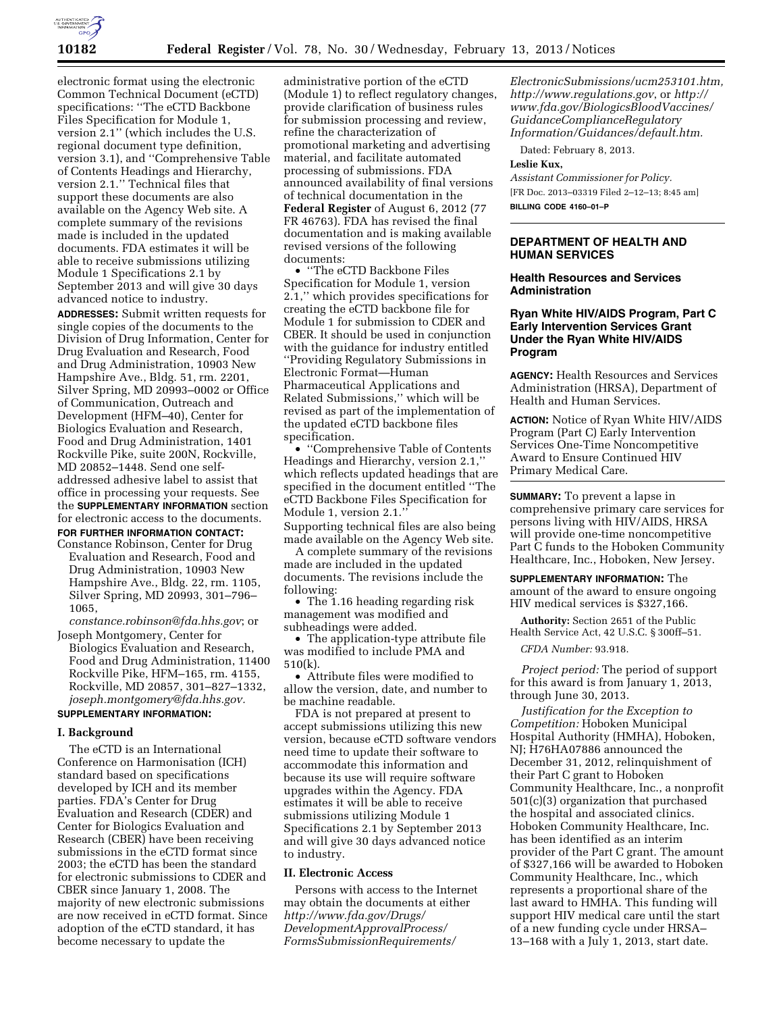

electronic format using the electronic Common Technical Document (eCTD) specifications: ''The eCTD Backbone Files Specification for Module 1, version 2.1'' (which includes the U.S. regional document type definition, version 3.1), and ''Comprehensive Table of Contents Headings and Hierarchy, version 2.1.'' Technical files that support these documents are also available on the Agency Web site. A complete summary of the revisions made is included in the updated documents. FDA estimates it will be able to receive submissions utilizing Module 1 Specifications 2.1 by September 2013 and will give 30 days advanced notice to industry.

**ADDRESSES:** Submit written requests for single copies of the documents to the Division of Drug Information, Center for Drug Evaluation and Research, Food and Drug Administration, 10903 New Hampshire Ave., Bldg. 51, rm. 2201, Silver Spring, MD 20993–0002 or Office of Communication, Outreach and Development (HFM–40), Center for Biologics Evaluation and Research, Food and Drug Administration, 1401 Rockville Pike, suite 200N, Rockville, MD 20852–1448. Send one selfaddressed adhesive label to assist that office in processing your requests. See the **SUPPLEMENTARY INFORMATION** section for electronic access to the documents. **FOR FURTHER INFORMATION CONTACT:** 

Constance Robinson, Center for Drug Evaluation and Research, Food and Drug Administration, 10903 New Hampshire Ave., Bldg. 22, rm. 1105, Silver Spring, MD 20993, 301–796– 1065,

*[constance.robinson@fda.hhs.gov](mailto:constance.robinson@fda.hhs.gov)*; or

Joseph Montgomery, Center for Biologics Evaluation and Research, Food and Drug Administration, 11400 Rockville Pike, HFM–165, rm. 4155, Rockville, MD 20857, 301–827–1332, *[joseph.montgomery@fda.hhs.gov.](mailto:joseph.montgomery@fda.hhs.gov)* 

#### **SUPPLEMENTARY INFORMATION:**

#### **I. Background**

The eCTD is an International Conference on Harmonisation (ICH) standard based on specifications developed by ICH and its member parties. FDA's Center for Drug Evaluation and Research (CDER) and Center for Biologics Evaluation and Research (CBER) have been receiving submissions in the eCTD format since 2003; the eCTD has been the standard for electronic submissions to CDER and CBER since January 1, 2008. The majority of new electronic submissions are now received in eCTD format. Since adoption of the eCTD standard, it has become necessary to update the

administrative portion of the eCTD (Module 1) to reflect regulatory changes, provide clarification of business rules for submission processing and review, refine the characterization of promotional marketing and advertising material, and facilitate automated processing of submissions. FDA announced availability of final versions of technical documentation in the **Federal Register** of August 6, 2012 (77 FR 46763). FDA has revised the final documentation and is making available revised versions of the following documents:

• ''The eCTD Backbone Files Specification for Module 1, version 2.1,'' which provides specifications for creating the eCTD backbone file for Module 1 for submission to CDER and CBER. It should be used in conjunction with the guidance for industry entitled ''Providing Regulatory Submissions in Electronic Format—Human Pharmaceutical Applications and Related Submissions,'' which will be revised as part of the implementation of the updated eCTD backbone files specification.

• ''Comprehensive Table of Contents Headings and Hierarchy, version 2.1,'' which reflects updated headings that are specified in the document entitled ''The eCTD Backbone Files Specification for Module 1, version 2.1. Supporting technical files are also being made available on the Agency Web site.

A complete summary of the revisions made are included in the updated documents. The revisions include the following:

• The 1.16 heading regarding risk management was modified and subheadings were added.

• The application-type attribute file was modified to include PMA and 510(k).

• Attribute files were modified to allow the version, date, and number to be machine readable.

FDA is not prepared at present to accept submissions utilizing this new version, because eCTD software vendors need time to update their software to accommodate this information and because its use will require software upgrades within the Agency. FDA estimates it will be able to receive submissions utilizing Module 1 Specifications 2.1 by September 2013 and will give 30 days advanced notice to industry.

#### **II. Electronic Access**

Persons with access to the Internet may obtain the documents at either *[http://www.fda.gov/Drugs/](http://www.fda.gov/Drugs/DevelopmentApprovalProcess/FormsSubmissionRequirements/ElectronicSubmissions/ucm253101.htm) [DevelopmentApprovalProcess/](http://www.fda.gov/Drugs/DevelopmentApprovalProcess/FormsSubmissionRequirements/ElectronicSubmissions/ucm253101.htm) [FormsSubmissionRequirements/](http://www.fda.gov/Drugs/DevelopmentApprovalProcess/FormsSubmissionRequirements/ElectronicSubmissions/ucm253101.htm)*

*[ElectronicSubmissions/ucm253101.htm,](http://www.fda.gov/Drugs/DevelopmentApprovalProcess/FormsSubmissionRequirements/ElectronicSubmissions/ucm253101.htm)  <http://www.regulations.gov>*, or *[http://](http://www.fda.gov/BiologicsBloodVaccines/GuidanceComplianceRegulatoryInformation/Guidances/default.htm)  [www.fda.gov/BiologicsBloodVaccines/](http://www.fda.gov/BiologicsBloodVaccines/GuidanceComplianceRegulatoryInformation/Guidances/default.htm) [GuidanceComplianceRegulatory](http://www.fda.gov/BiologicsBloodVaccines/GuidanceComplianceRegulatoryInformation/Guidances/default.htm) [Information/Guidances/default.htm.](http://www.fda.gov/BiologicsBloodVaccines/GuidanceComplianceRegulatoryInformation/Guidances/default.htm)* 

Dated: February 8, 2013.

#### **Leslie Kux,**

*Assistant Commissioner for Policy.*  [FR Doc. 2013–03319 Filed 2–12–13; 8:45 am] **BILLING CODE 4160–01–P** 

#### **DEPARTMENT OF HEALTH AND HUMAN SERVICES**

#### **Health Resources and Services Administration**

# **Ryan White HIV/AIDS Program, Part C Early Intervention Services Grant Under the Ryan White HIV/AIDS Program**

**AGENCY:** Health Resources and Services Administration (HRSA), Department of Health and Human Services.

**ACTION:** Notice of Ryan White HIV/AIDS Program (Part C) Early Intervention Services One-Time Noncompetitive Award to Ensure Continued HIV Primary Medical Care.

**SUMMARY:** To prevent a lapse in comprehensive primary care services for persons living with HIV/AIDS, HRSA will provide one-time noncompetitive Part C funds to the Hoboken Community Healthcare, Inc., Hoboken, New Jersey.

**SUPPLEMENTARY INFORMATION:** The amount of the award to ensure ongoing HIV medical services is \$327,166.

**Authority:** Section 2651 of the Public Health Service Act, 42 U.S.C. § 300ff–51.

*CFDA Number:* 93.918.

*Project period:* The period of support for this award is from January 1, 2013, through June 30, 2013.

*Justification for the Exception to Competition:* Hoboken Municipal Hospital Authority (HMHA), Hoboken, NJ; H76HA07886 announced the December 31, 2012, relinquishment of their Part C grant to Hoboken Community Healthcare, Inc., a nonprofit 501(c)(3) organization that purchased the hospital and associated clinics. Hoboken Community Healthcare, Inc. has been identified as an interim provider of the Part C grant. The amount of \$327,166 will be awarded to Hoboken Community Healthcare, Inc., which represents a proportional share of the last award to HMHA. This funding will support HIV medical care until the start of a new funding cycle under HRSA– 13–168 with a July 1, 2013, start date.